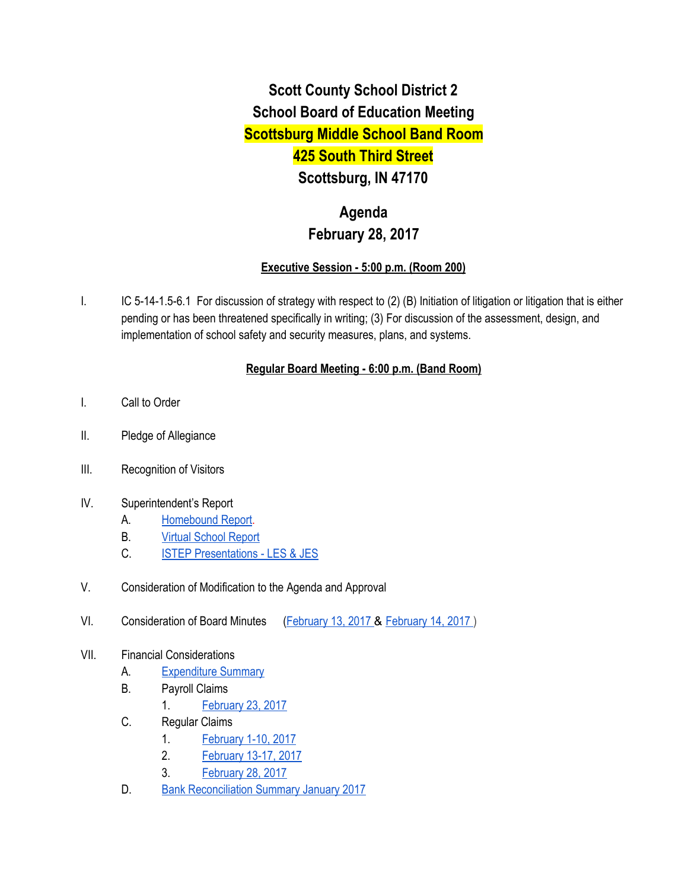# **Scott County School District 2 School Board of Education Meeting Scottsburg Middle School Band Room 425 South Third Street Scottsburg, IN 47170**

## **Agenda February 28, 2017**

### **Executive Session - 5:00 p.m. (Room 200)**

I. IC 5-14-1.5-6.1 For discussion of strategy with respect to (2) (B) Initiation of litigation or litigation that is either pending or has been threatened specifically in writing; (3) For discussion of the assessment, design, and implementation of school safety and security measures, plans, and systems.

## **Regular Board Meeting - 6:00 p.m. (Band Room)**

- I. Call to Order
- II. Pledge of Allegiance
- III. Recognition of Visitors
- IV. Superintendent's Report
	- A. [Homebound Report.](https://docs.google.com/spreadsheets/d/1nH2yjClDFJFE1eyvwnoJ_QohnAEuK1Rg6GC-fj95MFM/edit#gid=0)
	- B. [Virtual School Report](https://docs.google.com/spreadsheets/d/1VqWTUCySaewVr388bPafcAz0ZmN3hRRCImPd9KsAips/edit#gid=0)
	- C. [ISTEP Presentations LES & JES](https://docs.google.com/presentation/d/1MQr2YigBtZVkuzSbIo9MhzlEsvS_mPJj_ev2YHI-aHg/edit#slide=id.g1c5ac21479_1_0)
- V. Consideration of Modification to the Agenda and Approval
- VI. Consideration of Board Minutes [\(February 13, 2017](https://docs.google.com/document/d/15Z70Ccfddp6mUt108YDhqVOeZoyK_e-r15XOLRzA6a4/edit) & [February 14, 2017 \)](https://docs.google.com/document/d/1IEKcyIkvqiyi1DHCgjNmA5F8bxaNLOcPWR8JLo8Om4Q/edit)
- VII. Financial Considerations
	- A. [Expenditure Summary](https://drive.google.com/file/d/0BxXvxnGh3EX1cnZueV8xWGxzWGhFQzhnQkNSYkNxTnNhbDJB/view)
	- B. Payroll Claims
		- 1. [February 23, 2017](https://drive.google.com/file/d/0BxXvxnGh3EX1UTFETDRNR2hRZGZDSGg4VjZxR1NHWG1wcW9Z/view)
	- C. Regular Claims
		- 1. [February 1-10, 2017](https://drive.google.com/file/d/0BxXvxnGh3EX1Z21zUU0tdlBINzRVOUNabUVoTUZ1Z1lDSElV/view)
		- 2. [February 13-17, 2017](https://drive.google.com/file/d/0BxXvxnGh3EX1aTV6RU1RWFpaMFZyYzEyYTJZWjViQUhyTXdZ/view)
		- 3. [February 28, 2017](https://drive.google.com/file/d/0BxXvxnGh3EX1dzRXaWNRZUwtOHhaZE10SXFieWd4b0RON1E0/view)
	- D. [Bank Reconciliation Summary January 2017](https://drive.google.com/file/d/0BxXvxnGh3EX1S2R5WTgzZHBqYV85bHhhNGtNWFZCVHF1aFQ0/view)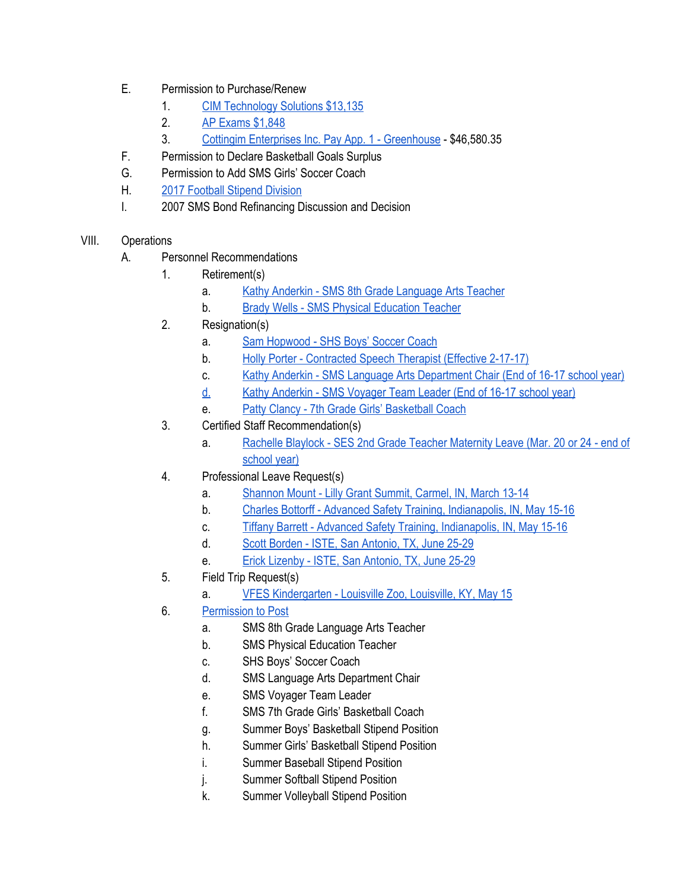- E. Permission to Purchase/Renew
	- 1. [CIM Technology Solutions \\$13,135](https://drive.google.com/file/d/0BxXvxnGh3EX1T2cwMnVYaVc1dEQ0U1R4QnRVWkhKVlRFNklr/view)
	- 2. [AP Exams \\$1,848](https://drive.google.com/file/d/0BxXvxnGh3EX1YmItVE1HUkVOM0JhSjFfNXl5clA0TTh6NHVr/view)
	- 3. [Cottingim Enterprises Inc. Pay App. 1 Greenhouse](https://drive.google.com/file/d/0BxXvxnGh3EX1M2NJYV9DMnhCTHR5OU50bEIzUmNZS3ZWZ1Zn/view)  \$46,580.35
- F. Permission to Declare Basketball Goals Surplus
- G. Permission to Add SMS Girls' Soccer Coach
- H. [2017 Football Stipend Division](https://docs.google.com/spreadsheets/d/1JSQXyiUlRc7TlfIIv_GJdDEg2A9zjwVatinwHvxFGlc/edit#gid=577382403)
- I. 2007 SMS Bond Refinancing Discussion and Decision
- VIII. Operations
	- A. Personnel Recommendations
		- 1. Retirement(s)
			- a. [Kathy Anderkin SMS 8th Grade Language Arts Teacher](https://drive.google.com/file/d/0BxXvxnGh3EX1VGt2dmNzVENlQUw2aDhZZWVqWm94Ung3Zko4/view)
			- b. [Brady Wells SMS Physical Education Teacher](https://drive.google.com/file/d/0BxXvxnGh3EX1UURtQ1JuZ21mYlFLMXZpRVZ6WFJOWldsdTlV/view)
		- 2. Resignation(s)
			- a. [Sam Hopwood SHS Boys' Soccer Coach](https://drive.google.com/file/d/0BxXvxnGh3EX1VjNsRW0wdGhiY2d5SlMzMksyN1JJNnU4TUs4/view)
			- b. [Holly Porter Contracted Speech Therapist \(Effective 2-17-17\)](https://drive.google.com/file/d/0BxXvxnGh3EX1aC0zSGg2N0hGblFwaHRRUklKRGt0NzRDYm1n/view)
			- c. [Kathy Anderkin SMS Language Arts Department Chair \(End of 16-17 school year\)](https://drive.google.com/drive/folders/0BxXvxnGh3EX1Y2MyMzBxZkNZZGc)
			- [d.](https://drive.google.com/drive/folders/0BxXvxnGh3EX1Y2MyMzBxZkNZZGc) [Kathy Anderkin SMS Voyager Team Leader \(End of 16-17 school year\)](https://drive.google.com/drive/folders/0BxXvxnGh3EX1Y2MyMzBxZkNZZGc)
			- e. [Patty Clancy 7th Grade Girls' Basketball Coach](https://drive.google.com/file/d/0BxXvxnGh3EX1NXlzNVpBc2RQTTdFS3lUc3JLVjJ6YTlfTFNJ/view)
		- 3. Certified Staff Recommendation(s)
			- a. [Rachelle Blaylock SES 2nd Grade Teacher Maternity Leave \(Mar. 20 or 24 end of](https://drive.google.com/file/d/0BxXvxnGh3EX1Z1g2R2JST3FHOXNhbEdWX0xObUo4dGpNMEd3/view) [school year\)](https://drive.google.com/file/d/0BxXvxnGh3EX1Z1g2R2JST3FHOXNhbEdWX0xObUo4dGpNMEd3/view)
		- 4. Professional Leave Request(s)
			- a. [Shannon Mount Lilly Grant Summit, Carmel, IN, March 13-14](https://drive.google.com/file/d/0BxXvxnGh3EX1dG5vLUYybkdSUVFvbDVXUmk5NnRrNnBvYUZz/view)
			- b. [Charles Bottorff Advanced Safety Training, Indianapolis, IN, May 15-16](https://drive.google.com/file/d/0BxXvxnGh3EX1UUtUbG1BeFhaclROcEF5Rk4xZ1BtbGRUM3k4/view)
			- c. [Tiffany Barrett Advanced Safety Training, Indianapolis, IN, May 15-16](https://drive.google.com/file/d/0BxXvxnGh3EX1MVcySFVNVTh5WW5kenZ4b1hGaVBNQllLUjJv/view)
			- d. [Scott Borden ISTE, San Antonio, TX, June 25-29](https://drive.google.com/file/d/0BxXvxnGh3EX1c1ZkMU5rLUtFOVJHVjRhMUZzeFBkcnk5d0g4/view)
			- e. [Erick Lizenby ISTE, San Antonio, TX, June 25-29](https://drive.google.com/file/d/0BxXvxnGh3EX1VEt0eDh1enlEXzZ1UUtIbUJYeEZ5dnBoc3ZV/view)
		- 5. Field Trip Request(s)
			- a. [VFES Kindergarten Louisville Zoo, Louisville, KY, May 15](https://drive.google.com/file/d/0BxXvxnGh3EX1RUJOeFJIQkEtLUxwQUNheDUzRXVyTlJJZ3VR/view)
		- 6. [Permission to Post](https://docs.google.com/document/d/1nBqnq9mTyYxZ-AdM1B4KKj7wXs2k-1dhpk0GR02JyLI/edit)
			- a. SMS 8th Grade Language Arts Teacher
			- b. SMS Physical Education Teacher
			- c. SHS Boys' Soccer Coach
			- d. SMS Language Arts Department Chair
			- e. SMS Voyager Team Leader
			- f. SMS 7th Grade Girls' Basketball Coach
			- g. Summer Boys' Basketball Stipend Position
			- h. Summer Girls' Basketball Stipend Position
			- i. Summer Baseball Stipend Position
			- j. Summer Softball Stipend Position
			- k. Summer Volleyball Stipend Position